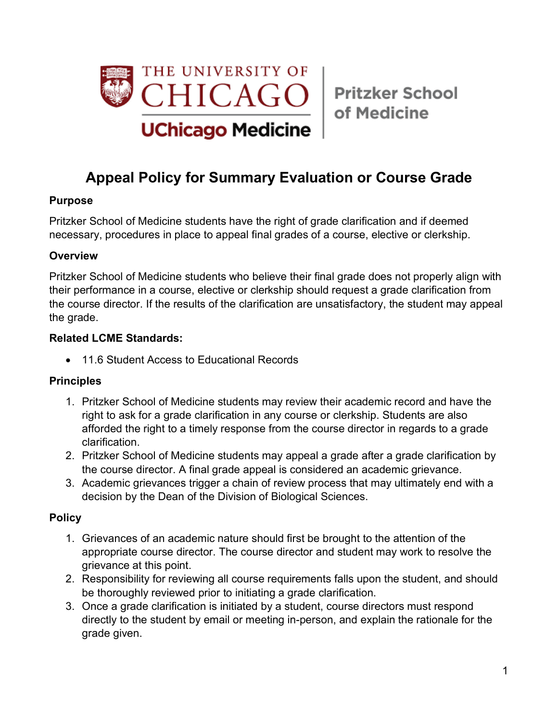

# **Appeal Policy for Summary Evaluation or Course Grade**

# **Purpose**

Pritzker School of Medicine students have the right of grade clarification and if deemed necessary, procedures in place to appeal final grades of a course, elective or clerkship.

### **Overview**

Pritzker School of Medicine students who believe their final grade does not properly align with their performance in a course, elective or clerkship should request a grade clarification from the course director. If the results of the clarification are unsatisfactory, the student may appeal the grade.

### **Related LCME Standards:**

• 11.6 Student Access to Educational Records

### **Principles**

- 1. Pritzker School of Medicine students may review their academic record and have the right to ask for a grade clarification in any course or clerkship. Students are also afforded the right to a timely response from the course director in regards to a grade clarification.
- 2. Pritzker School of Medicine students may appeal a grade after a grade clarification by the course director. A final grade appeal is considered an academic grievance.
- 3. Academic grievances trigger a chain of review process that may ultimately end with a decision by the Dean of the Division of Biological Sciences.

### **Policy**

- 1. Grievances of an academic nature should first be brought to the attention of the appropriate course director. The course director and student may work to resolve the grievance at this point.
- 2. Responsibility for reviewing all course requirements falls upon the student, and should be thoroughly reviewed prior to initiating a grade clarification.
- 3. Once a grade clarification is initiated by a student, course directors must respond directly to the student by email or meeting in-person, and explain the rationale for the grade given.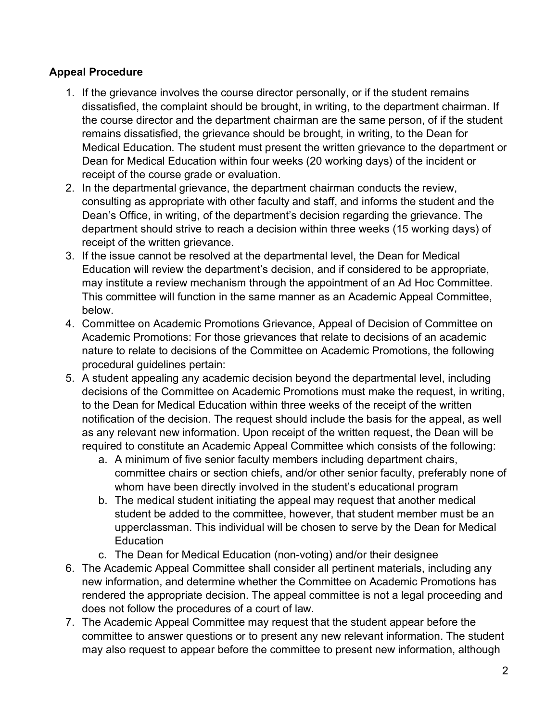# **Appeal Procedure**

- 1. If the grievance involves the course director personally, or if the student remains dissatisfied, the complaint should be brought, in writing, to the department chairman. If the course director and the department chairman are the same person, of if the student remains dissatisfied, the grievance should be brought, in writing, to the Dean for Medical Education. The student must present the written grievance to the department or Dean for Medical Education within four weeks (20 working days) of the incident or receipt of the course grade or evaluation.
- 2. In the departmental grievance, the department chairman conducts the review, consulting as appropriate with other faculty and staff, and informs the student and the Dean's Office, in writing, of the department's decision regarding the grievance. The department should strive to reach a decision within three weeks (15 working days) of receipt of the written grievance.
- 3. If the issue cannot be resolved at the departmental level, the Dean for Medical Education will review the department's decision, and if considered to be appropriate, may institute a review mechanism through the appointment of an Ad Hoc Committee. This committee will function in the same manner as an Academic Appeal Committee, below.
- 4. Committee on Academic Promotions Grievance, Appeal of Decision of Committee on Academic Promotions: For those grievances that relate to decisions of an academic nature to relate to decisions of the Committee on Academic Promotions, the following procedural guidelines pertain:
- 5. A student appealing any academic decision beyond the departmental level, including decisions of the Committee on Academic Promotions must make the request, in writing, to the Dean for Medical Education within three weeks of the receipt of the written notification of the decision. The request should include the basis for the appeal, as well as any relevant new information. Upon receipt of the written request, the Dean will be required to constitute an Academic Appeal Committee which consists of the following:
	- a. A minimum of five senior faculty members including department chairs, committee chairs or section chiefs, and/or other senior faculty, preferably none of whom have been directly involved in the student's educational program
	- b. The medical student initiating the appeal may request that another medical student be added to the committee, however, that student member must be an upperclassman. This individual will be chosen to serve by the Dean for Medical **Education**
	- c. The Dean for Medical Education (non-voting) and/or their designee
- 6. The Academic Appeal Committee shall consider all pertinent materials, including any new information, and determine whether the Committee on Academic Promotions has rendered the appropriate decision. The appeal committee is not a legal proceeding and does not follow the procedures of a court of law.
- 7. The Academic Appeal Committee may request that the student appear before the committee to answer questions or to present any new relevant information. The student may also request to appear before the committee to present new information, although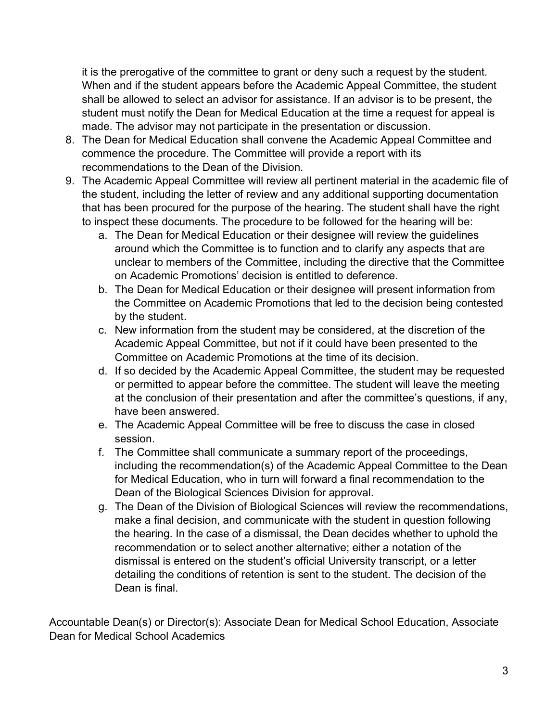it is the prerogative of the committee to grant or deny such a request by the student. When and if the student appears before the Academic Appeal Committee, the student shall be allowed to select an advisor for assistance. If an advisor is to be present, the student must notify the Dean for Medical Education at the time a request for appeal is made. The advisor may not participate in the presentation or discussion.

- 8. The Dean for Medical Education shall convene the Academic Appeal Committee and commence the procedure. The Committee will provide a report with its recommendations to the Dean of the Division.
- 9. The Academic Appeal Committee will review all pertinent material in the academic file of the student, including the letter of review and any additional supporting documentation that has been procured for the purpose of the hearing. The student shall have the right to inspect these documents. The procedure to be followed for the hearing will be:
	- a. The Dean for Medical Education or their designee will review the guidelines around which the Committee is to function and to clarify any aspects that are unclear to members of the Committee, including the directive that the Committee on Academic Promotions' decision is entitled to deference.
	- b. The Dean for Medical Education or their designee will present information from the Committee on Academic Promotions that led to the decision being contested by the student.
	- c. New information from the student may be considered, at the discretion of the Academic Appeal Committee, but not if it could have been presented to the Committee on Academic Promotions at the time of its decision.
	- d. If so decided by the Academic Appeal Committee, the student may be requested or permitted to appear before the committee. The student will leave the meeting at the conclusion of their presentation and after the committee's questions, if any, have been answered.
	- e. The Academic Appeal Committee will be free to discuss the case in closed session.
	- f. The Committee shall communicate a summary report of the proceedings, including the recommendation(s) of the Academic Appeal Committee to the Dean for Medical Education, who in turn will forward a final recommendation to the Dean of the Biological Sciences Division for approval.
	- g. The Dean of the Division of Biological Sciences will review the recommendations, make a final decision, and communicate with the student in question following the hearing. In the case of a dismissal, the Dean decides whether to uphold the recommendation or to select another alternative; either a notation of the dismissal is entered on the student's official University transcript, or a letter detailing the conditions of retention is sent to the student. The decision of the Dean is final.

Accountable Dean(s) or Director(s): Associate Dean for Medical School Education, Associate Dean for Medical School Academics